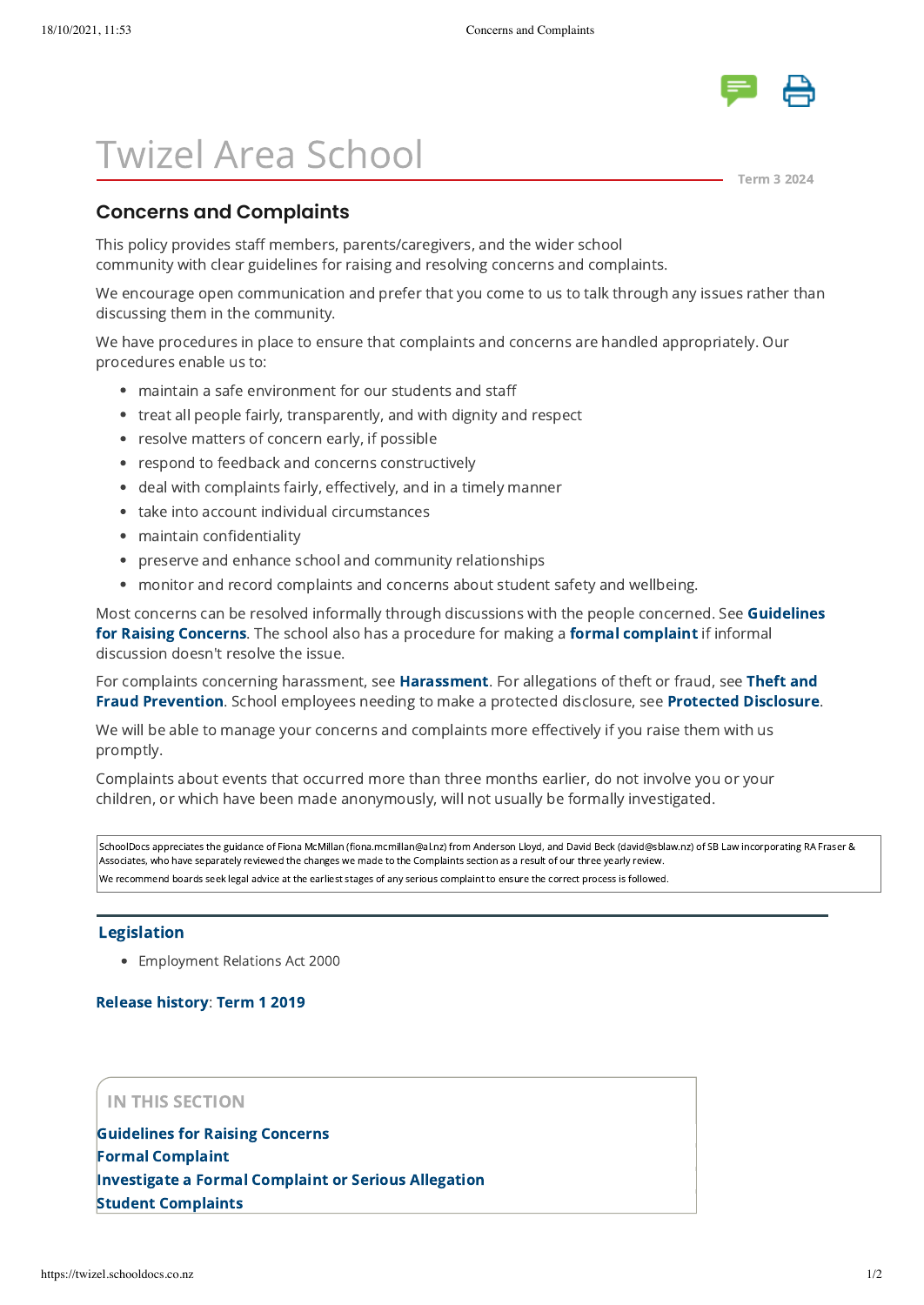

# Twizel Area School

[Term 3 2024](javascript:openWin( )

# **Concerns and Complaints**

This policy provides staff members, parents/caregivers, and the wider school community with clear guidelines for raising and resolving concerns and complaints.

We encourage open communication and prefer that you come to us to talk through any issues rather than discussing them in the community.

We have procedures in place to ensure that complaints and concerns are handled appropriately. Our procedures enable us to:

- maintain a safe environment for our students and staff
- treat all people fairly, transparently, and with dignity and respect
- resolve matters of concern early, if possible
- respond to feedback and concerns constructively
- deal with complaints fairly, effectively, and in a timely manner
- take into account individual circumstances
- maintain confidentiality
- preserve and enhance school and community relationships
- monitor and record complaints and concerns about student safety and wellbeing.

[Most concerns can be resolved informally through discussions with the people concerned. See Guidelines](https://twizel.schooldocs.co.nz/12729.htm) for Raising Concerns. The school also has a procedure for making a [formal complaint](https://twizel.schooldocs.co.nz/3042.htm) if informal discussion doesn't resolve the issue.

[For complaints concerning harassment, see](https://twizel.schooldocs.co.nz/2005.htm) [Harassmen](https://twizel.schooldocs.co.nz/13412.htm)[t. For allegations of theft or fraud, see Theft and](https://twizel.schooldocs.co.nz/2005.htm) Fraud Prevention. School employees needing to make a protected disclosure, see [Protected Disclosure.](https://twizel.schooldocs.co.nz/11892.htm)

We will be able to manage your concerns and complaints more effectively if you raise them with us promptly.

Complaints about events that occurred more than three months earlier, do not involve you or your children, or which have been made anonymously, will not usually be formally investigated.

SchoolDocs appreciates the guidance of Fiona McMillan (fiona.mcmillan@al.nz) from Anderson Lloyd, and David Beck (david@sblaw.nz) of SB Law incorporating RA Fraser & Associates, who have separately reviewed the changes we made to the Complaints section as a result of our three yearly review. We recommend boards seek legal advice at the earliest stages of any serious complaint to ensure the correct process is followed.

#### [Legislation](http://www.legislation.govt.nz/)

Employment Relations Act 2000

### [Release history:](javascript:void(0)) [Term 1 2019](https://twizel.schooldocs.co.nz/26251.htm)

## IN THIS SECTION

[Guidelines for Raising Concerns](https://twizel.schooldocs.co.nz/12729.htm) [Formal Complaint](https://twizel.schooldocs.co.nz/3042.htm) [Investigate a Formal Complaint or Serious Allegation](https://twizel.schooldocs.co.nz/13425.htm) [Student Complaints](https://twizel.schooldocs.co.nz/17277.htm)